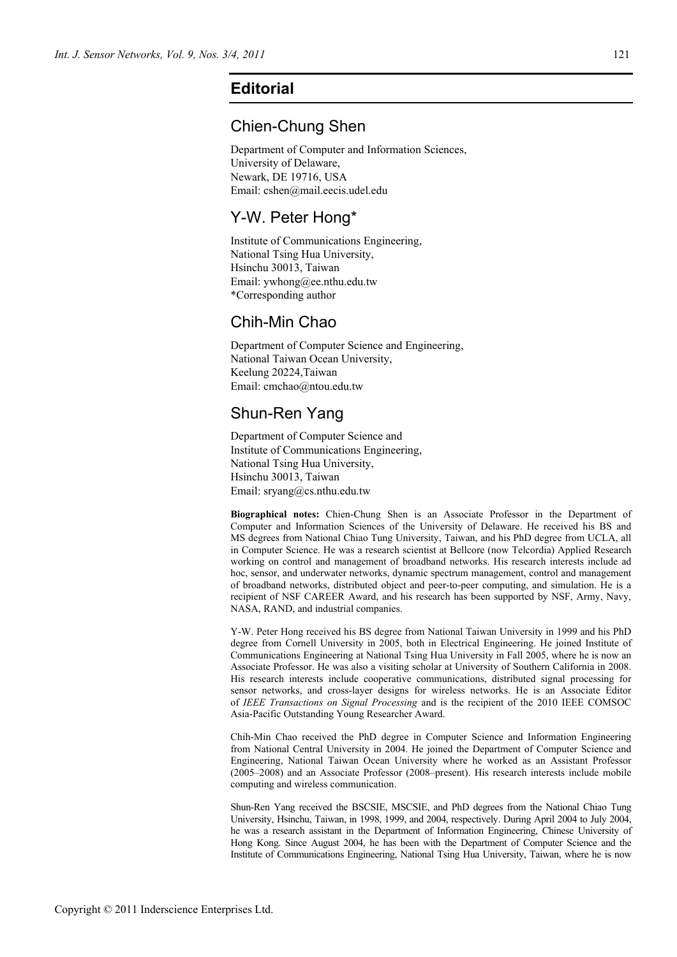## **Editorial**

#### Chien-Chung Shen

Department of Computer and Information Sciences, University of Delaware, Newark, DE 19716, USA Email: cshen@mail.eecis.udel.edu

# Y-W. Peter Hong\*

Institute of Communications Engineering, National Tsing Hua University, Hsinchu 30013, Taiwan Email: ywhong@ee.nthu.edu.tw \*Corresponding author

### Chih-Min Chao

Department of Computer Science and Engineering, National Taiwan Ocean University, Keelung 20224,Taiwan Email: cmchao@ntou.edu.tw

# Shun-Ren Yang

Department of Computer Science and Institute of Communications Engineering, National Tsing Hua University, Hsinchu 30013, Taiwan Email: sryang@cs.nthu.edu.tw

**Biographical notes:** Chien-Chung Shen is an Associate Professor in the Department of Computer and Information Sciences of the University of Delaware. He received his BS and MS degrees from National Chiao Tung University, Taiwan, and his PhD degree from UCLA, all in Computer Science. He was a research scientist at Bellcore (now Telcordia) Applied Research working on control and management of broadband networks. His research interests include ad hoc, sensor, and underwater networks, dynamic spectrum management, control and management of broadband networks, distributed object and peer-to-peer computing, and simulation. He is a recipient of NSF CAREER Award, and his research has been supported by NSF, Army, Navy, NASA, RAND, and industrial companies.

Y-W. Peter Hong received his BS degree from National Taiwan University in 1999 and his PhD degree from Cornell University in 2005, both in Electrical Engineering. He joined Institute of Communications Engineering at National Tsing Hua University in Fall 2005, where he is now an Associate Professor. He was also a visiting scholar at University of Southern California in 2008. His research interests include cooperative communications, distributed signal processing for sensor networks, and cross-layer designs for wireless networks. He is an Associate Editor of *IEEE Transactions on Signal Processing* and is the recipient of the 2010 IEEE COMSOC Asia-Pacific Outstanding Young Researcher Award.

Chih-Min Chao received the PhD degree in Computer Science and Information Engineering from National Central University in 2004. He joined the Department of Computer Science and Engineering, National Taiwan Ocean University where he worked as an Assistant Professor (2005–2008) and an Associate Professor (2008–present). His research interests include mobile computing and wireless communication.

Shun-Ren Yang received the BSCSIE, MSCSIE, and PhD degrees from the National Chiao Tung University, Hsinchu, Taiwan, in 1998, 1999, and 2004, respectively. During April 2004 to July 2004, he was a research assistant in the Department of Information Engineering, Chinese University of Hong Kong. Since August 2004, he has been with the Department of Computer Science and the Institute of Communications Engineering, National Tsing Hua University, Taiwan, where he is now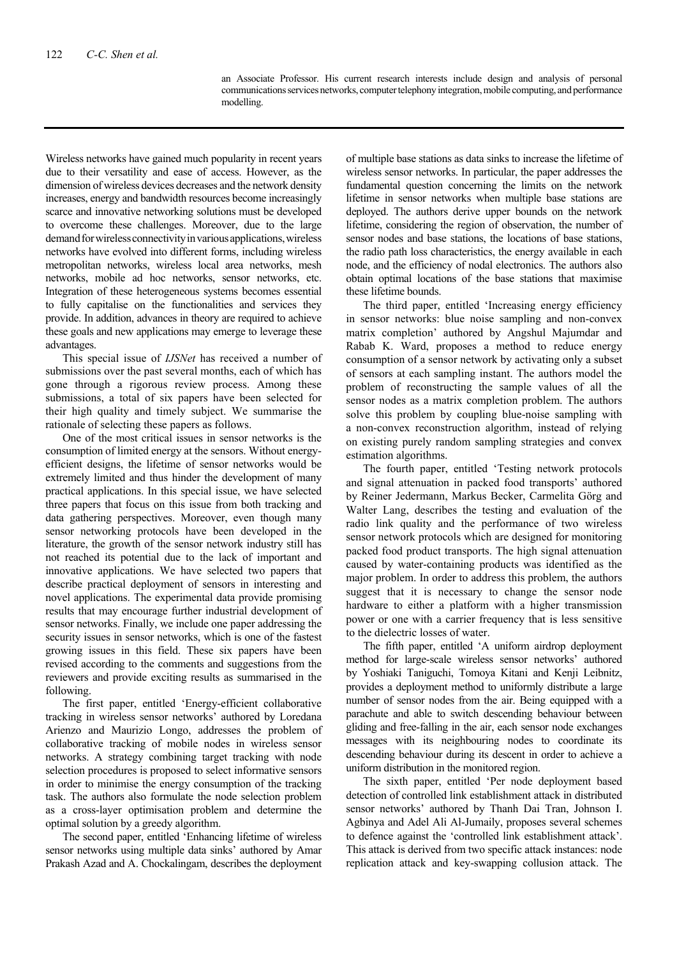an Associate Professor. His current research interests include design and analysis of personal communications services networks, computer telephony integration, mobile computing, and performance modelling.

Wireless networks have gained much popularity in recent years due to their versatility and ease of access. However, as the dimension of wireless devices decreases and the network density increases, energy and bandwidth resources become increasingly scarce and innovative networking solutions must be developed to overcome these challenges. Moreover, due to the large demand for wireless connectivity in various applications, wireless networks have evolved into different forms, including wireless metropolitan networks, wireless local area networks, mesh networks, mobile ad hoc networks, sensor networks, etc. Integration of these heterogeneous systems becomes essential to fully capitalise on the functionalities and services they provide. In addition, advances in theory are required to achieve these goals and new applications may emerge to leverage these advantages.

This special issue of *IJSNet* has received a number of submissions over the past several months, each of which has gone through a rigorous review process. Among these submissions, a total of six papers have been selected for their high quality and timely subject. We summarise the rationale of selecting these papers as follows.

One of the most critical issues in sensor networks is the consumption of limited energy at the sensors. Without energyefficient designs, the lifetime of sensor networks would be extremely limited and thus hinder the development of many practical applications. In this special issue, we have selected three papers that focus on this issue from both tracking and data gathering perspectives. Moreover, even though many sensor networking protocols have been developed in the literature, the growth of the sensor network industry still has not reached its potential due to the lack of important and innovative applications. We have selected two papers that describe practical deployment of sensors in interesting and novel applications. The experimental data provide promising results that may encourage further industrial development of sensor networks. Finally, we include one paper addressing the security issues in sensor networks, which is one of the fastest growing issues in this field. These six papers have been revised according to the comments and suggestions from the reviewers and provide exciting results as summarised in the following.

The first paper, entitled 'Energy-efficient collaborative tracking in wireless sensor networks' authored by Loredana Arienzo and Maurizio Longo, addresses the problem of collaborative tracking of mobile nodes in wireless sensor networks. A strategy combining target tracking with node selection procedures is proposed to select informative sensors in order to minimise the energy consumption of the tracking task. The authors also formulate the node selection problem as a cross-layer optimisation problem and determine the optimal solution by a greedy algorithm.

The second paper, entitled 'Enhancing lifetime of wireless sensor networks using multiple data sinks' authored by Amar Prakash Azad and A. Chockalingam, describes the deployment of multiple base stations as data sinks to increase the lifetime of wireless sensor networks. In particular, the paper addresses the fundamental question concerning the limits on the network lifetime in sensor networks when multiple base stations are deployed. The authors derive upper bounds on the network lifetime, considering the region of observation, the number of sensor nodes and base stations, the locations of base stations, the radio path loss characteristics, the energy available in each node, and the efficiency of nodal electronics. The authors also obtain optimal locations of the base stations that maximise these lifetime bounds.

The third paper, entitled 'Increasing energy efficiency in sensor networks: blue noise sampling and non-convex matrix completion' authored by Angshul Majumdar and Rabab K. Ward, proposes a method to reduce energy consumption of a sensor network by activating only a subset of sensors at each sampling instant. The authors model the problem of reconstructing the sample values of all the sensor nodes as a matrix completion problem. The authors solve this problem by coupling blue-noise sampling with a non-convex reconstruction algorithm, instead of relying on existing purely random sampling strategies and convex estimation algorithms.

The fourth paper, entitled 'Testing network protocols and signal attenuation in packed food transports' authored by Reiner Jedermann, Markus Becker, Carmelita Görg and Walter Lang, describes the testing and evaluation of the radio link quality and the performance of two wireless sensor network protocols which are designed for monitoring packed food product transports. The high signal attenuation caused by water-containing products was identified as the major problem. In order to address this problem, the authors suggest that it is necessary to change the sensor node hardware to either a platform with a higher transmission power or one with a carrier frequency that is less sensitive to the dielectric losses of water.

The fifth paper, entitled 'A uniform airdrop deployment method for large-scale wireless sensor networks' authored by Yoshiaki Taniguchi, Tomoya Kitani and Kenji Leibnitz, provides a deployment method to uniformly distribute a large number of sensor nodes from the air. Being equipped with a parachute and able to switch descending behaviour between gliding and free-falling in the air, each sensor node exchanges messages with its neighbouring nodes to coordinate its descending behaviour during its descent in order to achieve a uniform distribution in the monitored region.

The sixth paper, entitled 'Per node deployment based detection of controlled link establishment attack in distributed sensor networks' authored by Thanh Dai Tran, Johnson I. Agbinya and Adel Ali Al-Jumaily, proposes several schemes to defence against the 'controlled link establishment attack'. This attack is derived from two specific attack instances: node replication attack and key-swapping collusion attack. The